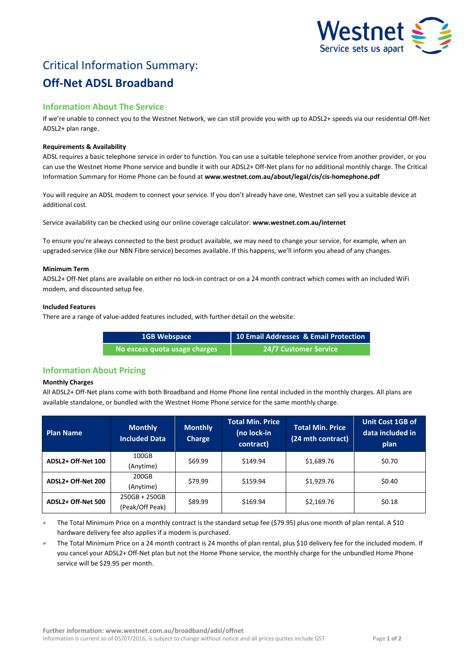

# Critical Information Summary: **Off-Net ADSL Broadband**

# **Information About The Service**

If we're unable to connect you to the Westnet Network, we can still provide you with up to ADSL2+ speeds via our residential Off-Net ADSL2+ plan range.

## **Requirements & Availability**

ADSL requires a basic telephone service in order to function. You can use a suitable telephone service from another provider, or you can use the Westnet Home Phone service and bundle it with our ADSL2+ Off-Net plans for no additional monthly charge. The Critical Information Summary for Home Phone can be found at **www.westnet.com.au/about/legal/cis/cis-homephone.pdf**

You will require an ADSL modem to connect your service. If you don't already have one, Westnet can sell you a suitable device at additional cost.

Service availability can be checked using our online coverage calculator: **www.westnet.com.au/internet**

To ensure you're always connected to the best product available, we may need to change your service, for example, when an upgraded service (like our NBN Fibre service) becomes available. If this happens, we'll inform you ahead of any changes.

#### **Minimum Term**

ADSL2+ Off-Net plans are available on either no lock-in contract or on a 24 month contract which comes with an included WiFi modem, and discounted setup fee.

#### **Included Features**

There are a range of value-added features included, with further detail on the website:

| <b>1GB Webspace</b>           | 10 Email Addresses & Email Protection |
|-------------------------------|---------------------------------------|
| No excess quota usage charges | <b>24/7 Customer Service</b>          |

# **Information About Pricing**

## **Monthly Charges**

All ADSL2+ Off-Net plans come with both Broadband and Home Phone line rental included in the monthly charges. All plans are available standalone, or bundled with the Westnet Home Phone service for the same monthly charge.

| <b>Plan Name</b>   | <b>Monthly</b><br><b>Included Data</b> | <b>Monthly</b><br>Charge | <b>Total Min. Price</b><br>(no lock-in<br>contract) | <b>Total Min. Price</b><br>(24 mth contract) | <b>Unit Cost 1GB of</b><br>data included in<br>plan |
|--------------------|----------------------------------------|--------------------------|-----------------------------------------------------|----------------------------------------------|-----------------------------------------------------|
| ADSL2+ Off-Net 100 | 100GB<br>(Anytime)                     | \$69.99                  | \$149.94                                            | \$1,689.76                                   | \$0.70                                              |
| ADSL2+ Off-Net 200 | 200GB<br>(Anytime)                     | \$79.99                  | \$159.94                                            | \$1,929.76                                   | \$0.40                                              |
| ADSL2+ Off-Net 500 | $250GB + 250GB$<br>(Peak/Off Peak)     | \$89.99                  | \$169.94                                            | \$2,169.76                                   | \$0.18                                              |

 The Total Minimum Price on a monthly contract is the standard setup fee (\$79.95) plus one month of plan rental. A \$10 hardware delivery fee also applies if a modem is purchased.

 The Total Minimum Price on a 24 month contract is 24 months of plan rental, plus \$10 delivery fee for the included modem. If you cancel your ADSL2+ Off-Net plan but not the Home Phone service, the monthly charge for the unbundled Home Phone service will be \$29.95 per month.